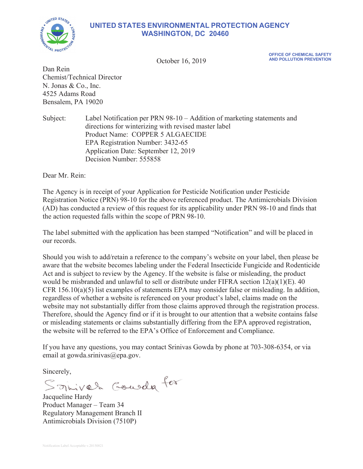# **UNITED STATES ENVIRONMENTAL PROTECTION AGENCY WASHINGTON, DC 20460**



**October 16, 2019** 

**OFFICE OF CHEMICAL SAFETY** 

Dan Rein Chemist/Technical Director N. Jonas & Co., Inc. 4525 Adams Road Bensalem, PA 19020

Subject: Label Notification per PRN 98-10 – Addition of marketing statements and directions for winterizing with revised master label Product Name: COPPER 5 ALGAECIDE EPA Registration Number: 3432-65 Application Date: September 12, 2019 Decision Number: 555858

Dear Mr. Rein:

The Agency is in receipt of your Application for Pesticide Notification under Pesticide Registration Notice (PRN) 98-10 for the above referenced product. The Antimicrobials Division (AD) has conducted a review of this request for its applicability under PRN 98-10 and finds that the action requested falls within the scope of PRN 98-10.

The label submitted with the application has been stamped "Notification" and will be placed in our records.

Should you wish to add/retain a reference to the company's website on your label, then please be aware that the website becomes labeling under the Federal Insecticide Fungicide and Rodenticide Act and is subject to review by the Agency. If the website is false or misleading, the product would be misbranded and unlawful to sell or distribute under FIFRA section 12(a)(1)(E). 40 CFR 156.10(a)(5) list examples of statements EPA may consider false or misleading. In addition, regardless of whether a website is referenced on your product's label, claims made on the website may not substantially differ from those claims approved through the registration process. Therefore, should the Agency find or if it is brought to our attention that a website contains false or misleading statements or claims substantially differing from the EPA approved registration, the website will be referred to the EPA's Office of Enforcement and Compliance.

If you have any questions, you may contact Srinivas Gowda by phone at 703-308-6354, or via email at gowda.srinivas@epa.gov.

Sincerely,

Somiver Gourda for

Product Manager – Team 34 Regulatory Management Branch II Antimicrobials Division (7510P)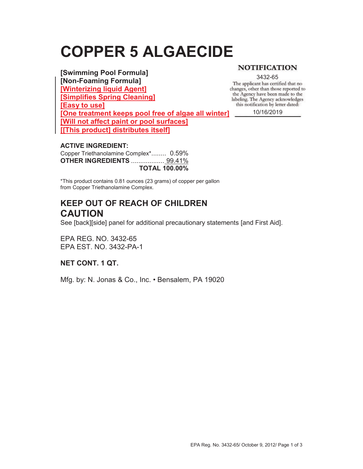# **COPPER 5 ALGAECIDE**

## **[Swimming Pool Formula]**

**[Non-Foaming Formula] [Winterizing liquid Agent] [Simplifies Spring Cleaning] [Easy to use]** 

**NOTIFICATION** 

3432-65<br>The applicant has certified that no changes, other than those reported to the Agency have been made to the labeling. The Agency acknowledges this notification by letter dated:

**[One treatment keeps pool free of algae all winter] [Will not affect paint or pool surfaces] [[This product] distributes itself]**

10/16/2019

## **ACTIVE INGREDIENT:**

Copper Triethanolamine Complex\*........ 0.59% **OTHER INGREDIENTS** .................. 99.41% **TOTAL 100.00%** 

\*This product contains 0.81 ounces (23 grams) of copper per gallon from Copper Triethanolamine Complex.

## **KEEP OUT OF REACH OF CHILDREN CAUTION**

See [back][side] panel for additional precautionary statements [and First Aid].

EPA REG. NO. 3432-65 EPA EST. NO. 3432-PA-1

**NET CONT. 1 QT.** 

Mfg. by: N. Jonas & Co., Inc. • Bensalem, PA 19020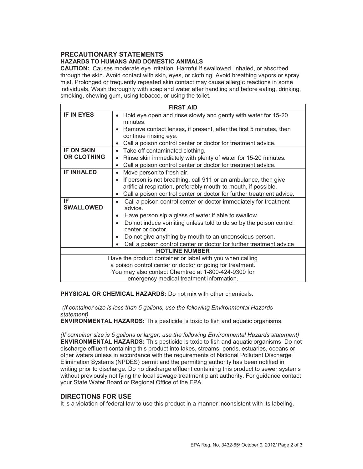## **PRECAUTIONARY STATEMENTS HAZARDS TO HUMANS AND DOMESTIC ANIMALS**

**CAUTION:** Causes moderate eye irritation. Harmful if swallowed, inhaled, or absorbed through the skin. Avoid contact with skin, eyes, or clothing. Avoid breathing vapors or spray mist. Prolonged or frequently repeated skin contact may cause allergic reactions in some individuals. Wash thoroughly with soap and water after handling and before eating, drinking, smoking, chewing gum, using tobacco, or using the toilet.

| <b>FIRST AID</b>                                          |                                                                                                                                                                                       |
|-----------------------------------------------------------|---------------------------------------------------------------------------------------------------------------------------------------------------------------------------------------|
| <b>IF IN EYES</b>                                         | Hold eye open and rinse slowly and gently with water for 15-20<br>$\bullet$<br>minutes.                                                                                               |
|                                                           | Remove contact lenses, if present, after the first 5 minutes, then<br>$\bullet$<br>continue rinsing eye.<br>Call a poison control center or doctor for treatment advice.<br>$\bullet$ |
| <b>IF ON SKIN</b>                                         | Take off contaminated clothing.<br>$\bullet$                                                                                                                                          |
| <b>OR CLOTHING</b>                                        | Rinse skin immediately with plenty of water for 15-20 minutes.<br>$\bullet$                                                                                                           |
|                                                           | Call a poison control center or doctor for treatment advice.<br>$\bullet$                                                                                                             |
| <b>IF INHALED</b>                                         | Move person to fresh air.<br>$\bullet$                                                                                                                                                |
|                                                           | If person is not breathing, call 911 or an ambulance, then give                                                                                                                       |
|                                                           | artificial respiration, preferably mouth-to-mouth, if possible.                                                                                                                       |
|                                                           | Call a poison control center or doctor for further treatment advice.<br>$\bullet$                                                                                                     |
| IF<br><b>SWALLOWED</b>                                    | Call a poison control center or doctor immediately for treatment<br>$\bullet$<br>advice.                                                                                              |
|                                                           | Have person sip a glass of water if able to swallow.<br>$\bullet$                                                                                                                     |
|                                                           | Do not induce vomiting unless told to do so by the poison control<br>$\bullet$<br>center or doctor                                                                                    |
|                                                           | Do not give anything by mouth to an unconscious person.<br>$\bullet$                                                                                                                  |
|                                                           | Call a poison control center or doctor for further treatment advice<br>$\bullet$                                                                                                      |
| <b>HOTLINE NUMBER</b>                                     |                                                                                                                                                                                       |
| Have the product container or label with you when calling |                                                                                                                                                                                       |
| a poison control center or doctor or going for treatment. |                                                                                                                                                                                       |
| You may also contact Chemtrec at 1-800-424-9300 for       |                                                                                                                                                                                       |
| emergency medical treatment information.                  |                                                                                                                                                                                       |

**PHYSICAL OR CHEMICAL HAZARDS:** Do not mix with other chemicals.

 *(If container size is less than 5 gallons, use the following Environmental Hazards statement)* 

**ENVIRONMENTAL HAZARDS:** This pesticide is toxic to fish and aquatic organisms.

*(If container size is 5 gallons or larger, use the following Environmental Hazards statement)*  **ENVIRONMENTAL HAZARDS:** This pesticide is toxic to fish and aquatic organisms. Do not discharge effluent containing this product into lakes, streams, ponds, estuaries, oceans or other waters unless in accordance with the requirements of National Pollutant Discharge Elimination Systems (NPDES) permit and the permitting authority has been notified in writing prior to discharge. Do no discharge effluent containing this product to sewer systems without previously notifying the local sewage treatment plant authority. For guidance contact your State Water Board or Regional Office of the EPA.

#### **DIRECTIONS FOR USE**

It is a violation of federal law to use this product in a manner inconsistent with its labeling.